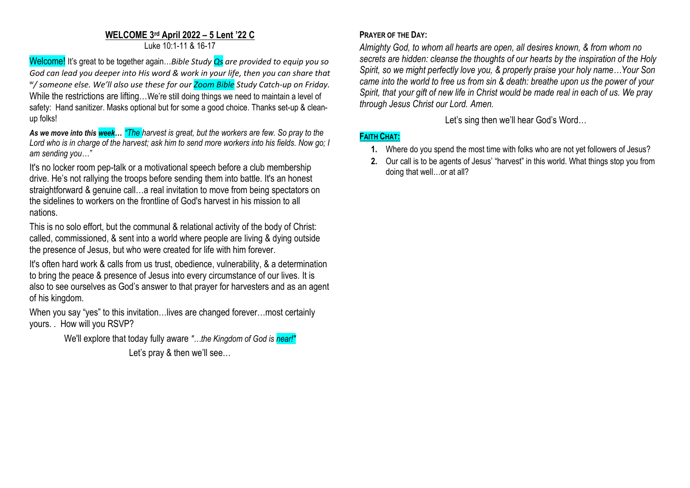# **WELCOME 3 rd April 2022 – 5 Lent '22 C**

Luke 10:1-11 & 16-17

Welcome! It's great to be together again…*Bible Study Qs are provided to equip you so God can lead you deeper into His word & work in your life, then you can share that w / someone else. We'll also use these for our Zoom Bible Study Catch-up on Friday.* While the restrictions are lifting...We're still doing things we need to maintain a level of safety: Hand sanitizer. Masks optional but for some a good choice. Thanks set-up & cleanup folks!

*As we move into this week… "The harvest is great, but the workers are few. So pray to the Lord who is in charge of the harvest; ask him to send more workers into his fields. Now go; I am sending you…"*

It's no locker room pep-talk or a motivational speech before a club membership drive. He's not rallying the troops before sending them into battle. It's an honest straightforward & genuine call…a real invitation to move from being spectators on the sidelines to workers on the frontline of God's harvest in his mission to all nations.

This is no solo effort, but the communal & relational activity of the body of Christ: called, commissioned, & sent into a world where people are living & dying outside the presence of Jesus, but who were created for life with him forever.

It's often hard work & calls from us trust, obedience, vulnerability, & a determination to bring the peace & presence of Jesus into every circumstance of our lives. It is also to see ourselves as God's answer to that prayer for harvesters and as an agent of his kingdom.

When you say "yes" to this invitation...lives are changed forever...most certainly yours. . How will you RSVP?

> We'll explore that today fully aware *"…the Kingdom of God is near!"* Let's pray & then we'll see...

## **PRAYER OF THE DAY:**

*Almighty God, to whom all hearts are open, all desires known, & from whom no secrets are hidden: cleanse the thoughts of our hearts by the inspiration of the Holy Spirit, so we might perfectly love you, & properly praise your holy name…Your Son came into the world to free us from sin & death: breathe upon us the power of your Spirit, that your gift of new life in Christ would be made real in each of us. We pray through Jesus Christ our Lord. Amen.*

Let's sing then we'll hear God's Word…

### **FAITH CHAT:**

- **1.** Where do you spend the most time with folks who are not yet followers of Jesus?
- **2.** Our call is to be agents of Jesus' "harvest" in this world. What things stop you from doing that well…or at all?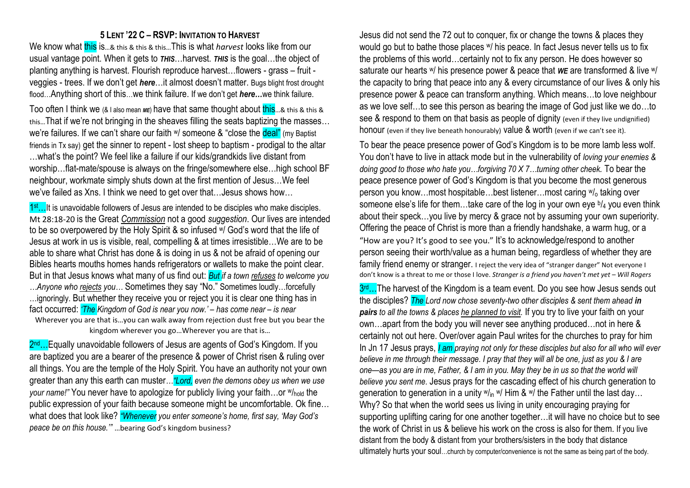#### **5 LENT '22 C – RSVP: INVITATION TO HARVEST**

We know what this is...& this & this & this...This is what *harvest* looks like from our usual vantage point. When it gets to *THIS*…harvest. *THIS* is the goal…the object of planting anything is harvest. Flourish reproduce harvest…flowers - grass – fruit veggies - trees. If we don't get *here*…it almost doesn't matter. Bugs blight frost drought flood…Anything short of this…we think failure. If we don't get *here…*we think failure.

Too often I think we (& I also mean *ME*) have that same thought about this...& this & this & this…That if we're not bringing in the sheaves filling the seats baptizing the masses… we're failures. If we can't share our faith w/ someone & "close the deal" (my Baptist friends in Tx say) get the sinner to repent - lost sheep to baptism - prodigal to the altar …what's the point? We feel like a failure if our kids/grandkids live distant from worship…flat-mate/spouse is always on the fringe/somewhere else…high school BF neighbour, workmate simply shuts down at the first mention of Jesus…We feel we've failed as Xns. I think we need to get over that... Jesus shows how...

1<sup>st</sup>...<sup>It</sup> is unavoidable followers of Jesus are intended to be disciples who make disciples. Mt 28:18-20 is the Great *Commission* not a good *suggestion*. Our lives are intended to be so overpowered by the Holy Spirit & so infused w/ God's word that the life of Jesus at work in us is visible, real, compelling & at times irresistible…We are to be able to share what Christ has done & is doing in us & not be afraid of opening our Bibles hearts mouths homes hands refrigerators or wallets to make the point clear. But in that Jesus knows what many of us find out: *But if a town refuses to welcome you …Anyone who rejects you…* Sometimes they say "No." Sometimes loudly…forcefully …ignoringly. But whether they receive you or reject you it is clear one thing has in fact occurred: *'The Kingdom of God is near you now.' – has come near – is near* Wherever you are that is…you can walk away from rejection dust free but you bear the kingdom wherever you go…Wherever you are that is…

2<sup>nd</sup>…Equally unavoidable followers of Jesus are agents of God's Kingdom. If you are baptized you are a bearer of the presence & power of Christ risen & ruling over all things. You are the temple of the Holy Spirit. You have an authority not your own greater than any this earth can muster*…"Lord, even the demons obey us when we use your name!"* You never have to apologize for publicly living your faith...or  $w_{hold}$  the public expression of your faith because someone might be uncomfortable. Ok fine… what does that look like? *"Whenever you enter someone's home, first say, 'May God's peace be on this house.'"* …bearing God's kingdom business?

Jesus did not send the 72 out to conquer, fix or change the towns & places they would go but to bathe those places w/ his peace. In fact Jesus never tells us to fix the problems of this world…certainly not to fix any person. He does however so saturate our hearts w/ his presence power & peace that *WE* are transformed & live w/ the capacity to bring that peace into any & every circumstance of our lives & only his presence power & peace can transform anything. Which means…to love neighbour as we love self…to see this person as bearing the image of God just like we do…to see & respond to them on that basis as people of dignity (even if they live undignified) honour (even if they live beneath honourably) value & worth (even if we can't see it).

To bear the peace presence power of God's Kingdom is to be more lamb less wolf. You don't have to live in attack mode but in the vulnerability of *loving your enemies & doing good to those who hate you…forgiving 70 X 7…turning other cheek.* To bear the peace presence power of God's Kingdom is that you become the most generous person you know…most hospitable…best listener…most caring  $w_0$  taking over someone else's life for them...take care of the log in your own eye <sup>b</sup>/<sub>4</sub> you even think about their speck…you live by mercy & grace not by assuming your own superiority. Offering the peace of Christ is more than a friendly handshake, a warm hug, or a "How are you? It's good to see you." It's to acknowledge/respond to another person seeing their worth/value as a human being, regardless of whether they are family friend enemy or stranger. I reject the very idea of "stranger danger" Not everyone I don't know is a threat to me or those I love. *Stranger is a friend you haven't met yet – Will Rogers*

3<sup>rd</sup>…The harvest of the Kingdom is a team event. Do you see how Jesus sends out the disciples? *The Lord now chose seventy-two other disciples & sent them ahead in pairs to all the towns & places he planned to visit.* If you try to live your faith on your own…apart from the body you will never see anything produced…not in here & certainly not out here. Over/over again Paul writes for the churches to pray for him In Jn 17 Jesus prays, *I am praying not only for these disciples but also for all who will ever believe in me through their message. I pray that they will all be one, just as you & I are one—as you are in me, Father, & I am in you. May they be in us so that the world will believe you sent me.* Jesus prays for the cascading effect of his church generation to generation to generation in a unity  $w_{in}$  w/ Him & w/ the Father until the last day... Why? So that when the world sees us living in unity encouraging praying for supporting uplifting caring for one another together…it will have no choice but to see the work of Christ in us & believe his work on the cross is also for them. If you live distant from the body & distant from your brothers/sisters in the body that distance ultimately hurts your soul...church by computer/convenience is not the same as being part of the body.